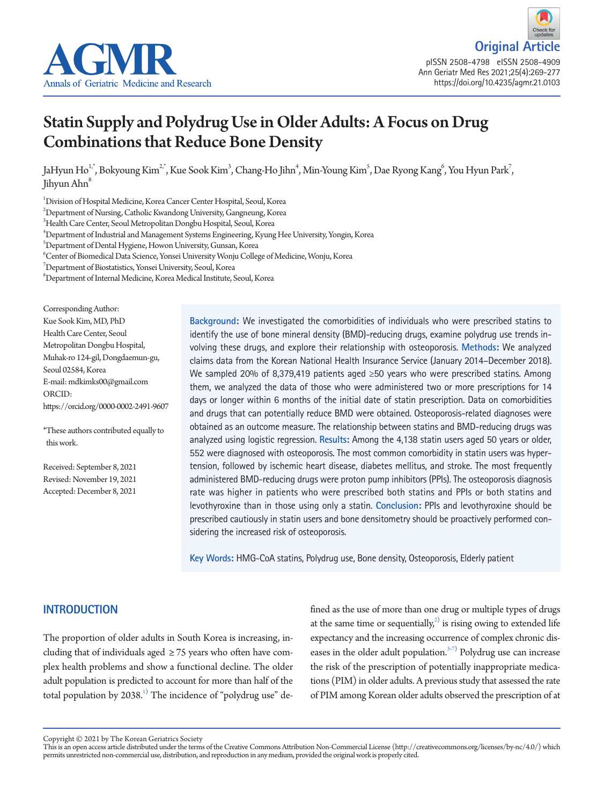



# Statin Supply and Polydrug Use in Older Adults: A Focus on Drug Combinations that Reduce Bone Density

JaHyun Ho<sup>1,</sup>\*, Bokyoung Kim<sup>2,\*</sup>, Kue Sook Kim<sup>3</sup>, Chang-Ho Jihn<sup>4</sup>, Min-Young Kim<sup>5</sup>, Dae Ryong Kang<sup>6</sup>, You Hyun Park<sup>7</sup>, Jihyun Ahn<sup>8</sup>

1 Division of Hospital Medicine, Korea Cancer Center Hospital, Seoul, Korea

2 Department of Nursing, Catholic Kwandong University, Gangneung, Korea

3 Health Care Center, Seoul Metropolitan Dongbu Hospital, Seoul, Korea

4 Department of Industrial and Management Systems Engineering, Kyung Hee University, Yongin, Korea

 $^5$ Department of Dental Hygiene, Howon University, Gunsan, Korea

 $^6$ Center of Biomedical Data Science, Yonsei University Wonju College of Medicine, Wonju, Korea

7 Department of Biostatistics, Yonsei University, Seoul, Korea

 $^8$ Department of Internal Medicine, Korea Medical Institute, Seoul, Korea

Corresponding Author: Kue Sook Kim, MD, PhD Health Care Center, Seoul Metropolitan Dongbu Hospital, Muhak-ro 124-gil, Dongdaemun-gu, Seoul 02584, Korea E-mail: mdkimks00@gmail.com ORCID: https://orcid.org/0000-0002-2491-9607

\*These authors contributed equally to this work.

Received: September 8, 2021 Revised: November 19, 2021 Accepted: December 8, 2021

**Background:** We investigated the comorbidities of individuals who were prescribed statins to identify the use of bone mineral density (BMD)-reducing drugs, examine polydrug use trends involving these drugs, and explore their relationship with osteoporosis. **Methods:** We analyzed claims data from the Korean National Health Insurance Service (January 2014–December 2018). We sampled 20% of 8,379,419 patients aged ≥50 years who were prescribed statins. Among them, we analyzed the data of those who were administered two or more prescriptions for 14 days or longer within 6 months of the initial date of statin prescription. Data on comorbidities and drugs that can potentially reduce BMD were obtained. Osteoporosis-related diagnoses were obtained as an outcome measure. The relationship between statins and BMD-reducing drugs was analyzed using logistic regression. **Results:** Among the 4,138 statin users aged 50 years or older, 552 were diagnosed with osteoporosis. The most common comorbidity in statin users was hypertension, followed by ischemic heart disease, diabetes mellitus, and stroke. The most frequently administered BMD-reducing drugs were proton pump inhibitors (PPIs). The osteoporosis diagnosis rate was higher in patients who were prescribed both statins and PPIs or both statins and levothyroxine than in those using only a statin. **Conclusion:** PPIs and levothyroxine should be prescribed cautiously in statin users and bone densitometry should be proactively performed considering the increased risk of osteoporosis.

**Key Words:** HMG-CoA statins, Polydrug use, Bone density, Osteoporosis, Elderly patient

# **INTRODUCTION**

The proportion of older adults in South Korea is increasing, including that of individuals aged  $\geq$  75 years who often have complex health problems and show a functional decline. The older adult population is predicted to account for more than half of the total population by 2038.<sup>[1\)](#page-7-0)</sup> The incidence of "polydrug use" de-

fined as the use of more than one drug or multiple types of drugs at the same time or sequentially, $^{2)}$  $^{2)}$  $^{2)}$  is rising owing to extended life expectancy and the increasing occurrence of complex chronic diseases in the older adult population. $3-7$  $3-7$ ) Polydrug use can increase the risk of the prescription of potentially inappropriate medications (PIM) in older adults. A previous study that assessed the rate of PIM among Korean older adults observed the prescription of at

Copyright © 2021 by The Korean Geriatrics Society<br>This is an open access article distributed under the terms of the Creative Commons Attribution Non-Commercial License (http://creativecommons.org/licenses/by-nc/4.0/) which permits unrestricted non-commercial use, distribution, and reproduction in any medium, provided the original work is properly cited.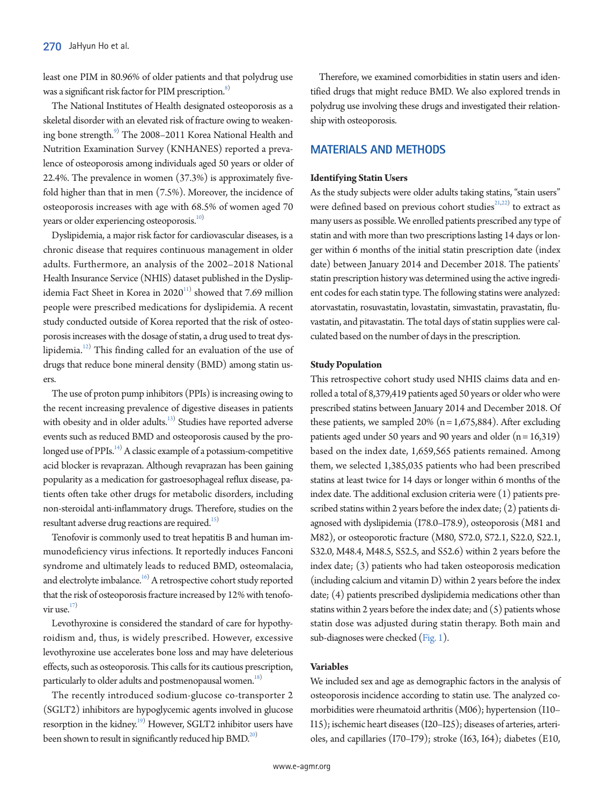least one PIM in 80.96% of older patients and that polydrug use was a significant risk factor for PIM prescription.<sup>[8\)](#page-7-4)</sup>

The National Institutes of Health designated osteoporosis as a skeletal disorder with an elevated risk of fracture owing to weakening bone strength.<sup>9)</sup> The 2008–2011 Korea National Health and Nutrition Examination Survey (KNHANES) reported a prevalence of osteoporosis among individuals aged 50 years or older of 22.4%. The prevalence in women (37.3%) is approximately fivefold higher than that in men (7.5%). Moreover, the incidence of osteoporosis increases with age with 68.5% of women aged 70 years or older experiencing osteoporosis.<sup>10)</sup>

Dyslipidemia, a major risk factor for cardiovascular diseases, is a chronic disease that requires continuous management in older adults. Furthermore, an analysis of the 2002–2018 National Health Insurance Service (NHIS) dataset published in the Dyslipidemia Fact Sheet in Korea in 2020 $^{11)}$  $^{11)}$  $^{11)}$  showed that 7.69 million people were prescribed medications for dyslipidemia. A recent study conducted outside of Korea reported that the risk of osteoporosis increases with the dosage of statin, a drug used to treat dys-lipidemia.<sup>[12](#page-7-8))</sup> This finding called for an evaluation of the use of drugs that reduce bone mineral density (BMD) among statin users.

The use of proton pump inhibitors (PPIs) is increasing owing to the recent increasing prevalence of digestive diseases in patients with obesity and in older adults.<sup>13)</sup> Studies have reported adverse events such as reduced BMD and osteoporosis caused by the prolonged use of PPIs. $^{14)}$  A classic example of a potassium-competitive acid blocker is revaprazan. Although revaprazan has been gaining popularity as a medication for gastroesophageal reflux disease, patients often take other drugs for metabolic disorders, including non-steroidal anti-inflammatory drugs. Therefore, studies on the resultant adverse drug reactions are required.<sup>15)</sup>

Tenofovir is commonly used to treat hepatitis B and human immunodeficiency virus infections. It reportedly induces Fanconi syndrome and ultimately leads to reduced BMD, osteomalacia, and electrolyte imbalance.<sup>16)</sup> A retrospective cohort study reported that the risk of osteoporosis fracture increased by 12% with tenofovir use. $17$ )

Levothyroxine is considered the standard of care for hypothyroidism and, thus, is widely prescribed. However, excessive levothyroxine use accelerates bone loss and may have deleterious effects, such as osteoporosis. This calls for its cautious prescription, particularly to older adults and postmenopausal women.<sup>[18](#page-7-14))</sup>

The recently introduced sodium-glucose co-transporter 2 (SGLT2) inhibitors are hypoglycemic agents involved in glucose resorption in the kidney.<sup>19)</sup> However, SGLT2 inhibitor users have been shown to result in significantly reduced hip BMD.<sup>20)</sup>

Therefore, we examined comorbidities in statin users and identified drugs that might reduce BMD. We also explored trends in polydrug use involving these drugs and investigated their relationship with osteoporosis.

# **MATERIALS AND METHODS**

## **Identifying Statin Users**

As the study subjects were older adults taking statins, "stain users" were defined based on previous cohort studies $2^{1,22}$  to extract as many users as possible. We enrolled patients prescribed any type of statin and with more than two prescriptions lasting 14 days or longer within 6 months of the initial statin prescription date (index date) between January 2014 and December 2018. The patients' statin prescription history was determined using the active ingredient codes for each statin type. The following statins were analyzed: atorvastatin, rosuvastatin, lovastatin, simvastatin, pravastatin, fluvastatin, and pitavastatin. The total days of statin supplies were calculated based on the number of days in the prescription.

## **Study Population**

This retrospective cohort study used NHIS claims data and enrolled a total of 8,379,419 patients aged 50 years or older who were prescribed statins between January 2014 and December 2018. Of these patients, we sampled 20% ( $n = 1,675,884$ ). After excluding patients aged under 50 years and 90 years and older  $(n = 16,319)$ based on the index date, 1,659,565 patients remained. Among them, we selected 1,385,035 patients who had been prescribed statins at least twice for 14 days or longer within 6 months of the index date. The additional exclusion criteria were (1) patients prescribed statins within 2 years before the index date; (2) patients diagnosed with dyslipidemia (I78.0–I78.9), osteoporosis (M81 and M82), or osteoporotic fracture (M80, S72.0, S72.1, S22.0, S22.1, S32.0, M48.4, M48.5, S52.5, and S52.6) within 2 years before the index date; (3) patients who had taken osteoporosis medication (including calcium and vitamin D) within 2 years before the index date; (4) patients prescribed dyslipidemia medications other than statins within 2 years before the index date; and  $(5)$  patients whose statin dose was adjusted during statin therapy. Both main and sub-diagnoses were checked [\(Fig. 1\)](#page-2-0).

#### **Variables**

We included sex and age as demographic factors in the analysis of osteoporosis incidence according to statin use. The analyzed comorbidities were rheumatoid arthritis (M06); hypertension (I10– I15); ischemic heart diseases (I20–I25); diseases of arteries, arterioles, and capillaries (I70–I79); stroke (I63, I64); diabetes (E10,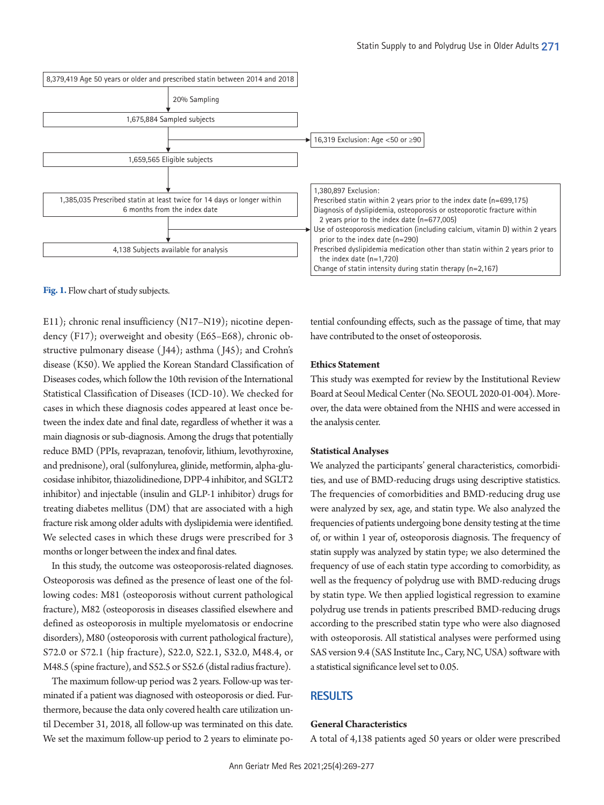<span id="page-2-0"></span>

**Fig. 1.** Flow chart of study subjects.

E11); chronic renal insufficiency (N17–N19); nicotine dependency (F17); overweight and obesity (E65–E68), chronic obstructive pulmonary disease ( J44); asthma ( J45); and Crohn's disease (K50). We applied the Korean Standard Classification of Diseases codes, which follow the 10th revision of the International Statistical Classification of Diseases (ICD-10). We checked for cases in which these diagnosis codes appeared at least once between the index date and final date, regardless of whether it was a main diagnosis or sub-diagnosis. Among the drugs that potentially reduce BMD (PPIs, revaprazan, tenofovir, lithium, levothyroxine, and prednisone), oral (sulfonylurea, glinide, metformin, alpha-glucosidase inhibitor, thiazolidinedione, DPP-4 inhibitor, and SGLT2 inhibitor) and injectable (insulin and GLP-1 inhibitor) drugs for treating diabetes mellitus (DM) that are associated with a high fracture risk among older adults with dyslipidemia were identified. We selected cases in which these drugs were prescribed for 3 months or longer between the index and final dates.

In this study, the outcome was osteoporosis-related diagnoses. Osteoporosis was defined as the presence of least one of the following codes: M81 (osteoporosis without current pathological fracture), M82 (osteoporosis in diseases classified elsewhere and defined as osteoporosis in multiple myelomatosis or endocrine disorders), M80 (osteoporosis with current pathological fracture), S72.0 or S72.1 (hip fracture), S22.0, S22.1, S32.0, M48.4, or M48.5 (spine fracture), and S52.5 or S52.6 (distal radius fracture).

The maximum follow-up period was 2 years. Follow-up was terminated if a patient was diagnosed with osteoporosis or died. Furthermore, because the data only covered health care utilization until December 31, 2018, all follow-up was terminated on this date. We set the maximum follow-up period to 2 years to eliminate po-

tential confounding effects, such as the passage of time, that may have contributed to the onset of osteoporosis.

## **Ethics Statement**

This study was exempted for review by the Institutional Review Board at Seoul Medical Center (No. SEOUL 2020-01-004). Moreover, the data were obtained from the NHIS and were accessed in the analysis center.

## **Statistical Analyses**

We analyzed the participants' general characteristics, comorbidities, and use of BMD-reducing drugs using descriptive statistics. The frequencies of comorbidities and BMD-reducing drug use were analyzed by sex, age, and statin type. We also analyzed the frequencies of patients undergoing bone density testing at the time of, or within 1 year of, osteoporosis diagnosis. The frequency of statin supply was analyzed by statin type; we also determined the frequency of use of each statin type according to comorbidity, as well as the frequency of polydrug use with BMD-reducing drugs by statin type. We then applied logistical regression to examine polydrug use trends in patients prescribed BMD-reducing drugs according to the prescribed statin type who were also diagnosed with osteoporosis. All statistical analyses were performed using SAS version 9.4 (SAS Institute Inc., Cary, NC, USA) software with a statistical significance level set to 0.05.

# **RESULTS**

#### **General Characteristics**

A total of 4,138 patients aged 50 years or older were prescribed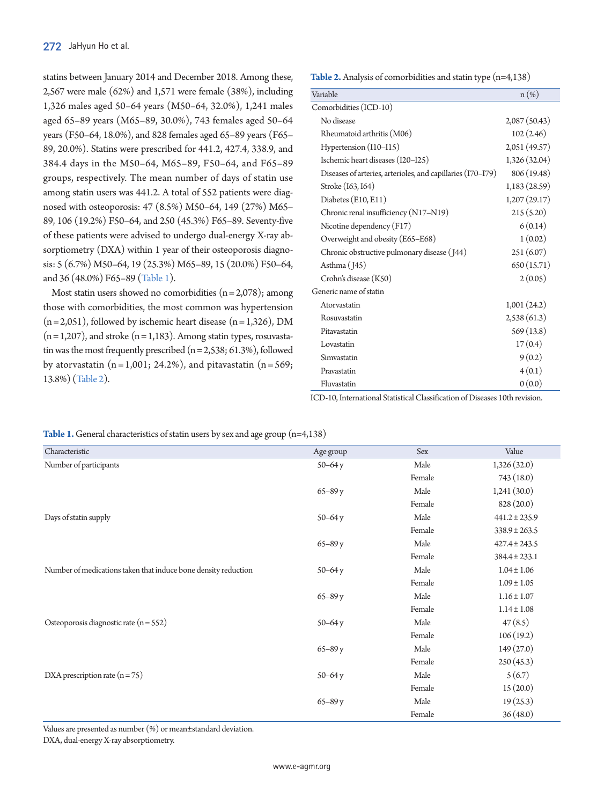statins between January 2014 and December 2018. Among these, 2,567 were male (62%) and 1,571 were female (38%), including 1,326 males aged 50–64 years (M50–64, 32.0%), 1,241 males aged 65–89 years (M65–89, 30.0%), 743 females aged 50–64 years (F50–64, 18.0%), and 828 females aged 65–89 years (F65– 89, 20.0%). Statins were prescribed for 441.2, 427.4, 338.9, and 384.4 days in the M50–64, M65–89, F50–64, and F65–89 groups, respectively. The mean number of days of statin use among statin users was 441.2. A total of 552 patients were diagnosed with osteoporosis: 47 (8.5%) M50–64, 149 (27%) M65– 89, 106 (19.2%) F50–64, and 250 (45.3%) F65–89. Seventy-five of these patients were advised to undergo dual-energy X-ray absorptiometry (DXA) within 1 year of their osteoporosis diagnosis: 5 (6.7%) M50–64, 19 (25.3%) M65–89, 15 (20.0%) F50–64, and 36 (48.0%) F65–89 [\(Table 1](#page-3-0)).

Most statin users showed no comorbidities  $(n=2,078)$ ; among those with comorbidities, the most common was hypertension  $(n=2,051)$ , followed by ischemic heart disease  $(n=1,326)$ , DM  $(n=1,207)$ , and stroke  $(n=1,183)$ . Among statin types, rosuvastatin was the most frequently prescribed  $(n = 2,538; 61.3%)$ , followed by atorvastatin  $(n=1,001; 24.2\%)$ , and pitavastatin  $(n=569;$ 13.8%) [\(Table 2](#page-3-1)).

<span id="page-3-1"></span>**Table 2.** Analysis of comorbidities and statin type (n=4,138)

| Variable                                                    | $n(\%)$       |
|-------------------------------------------------------------|---------------|
| Comorbidities (ICD-10)                                      |               |
| No disease                                                  | 2,087(50.43)  |
| Rheumatoid arthritis (M06)                                  | 102(2.46)     |
| Hypertension (I10-I15)                                      | 2,051 (49.57) |
| Ischemic heart diseases (I20-I25)                           | 1,326 (32.04) |
| Diseases of arteries, arterioles, and capillaries (I70-I79) | 806 (19.48)   |
| Stroke (163, 164)                                           | 1,183(28.59)  |
| Diabetes (E10, E11)                                         | 1,207(29.17)  |
| Chronic renal insufficiency (N17-N19)                       | 215(5.20)     |
| Nicotine dependency (F17)                                   | 6(0.14)       |
| Overweight and obesity (E65-E68)                            | 1(0.02)       |
| Chronic obstructive pulmonary disease (144)                 | 251(6.07)     |
| Asthma (J45)                                                | 650 (15.71)   |
| Crohn's disease (K50)                                       | 2(0.05)       |
| Generic name of statin                                      |               |
| Atorvastatin                                                | 1,001(24.2)   |
| Rosuvastatin                                                | 2,538(61.3)   |
| Pitavastatin                                                | 569(13.8)     |
| Lovastatin                                                  | 17(0.4)       |
| Simvastatin                                                 | 9(0.2)        |
| Pravastatin                                                 | 4(0.1)        |
| Fluvastatin                                                 | 0(0.0)        |

ICD-10, International Statistical Classification of Diseases 10th revision.

<span id="page-3-0"></span>Table 1. General characteristics of statin users by sex and age group (n=4,138)

| Characteristic                                                 | Age group  | Sex    | Value             |
|----------------------------------------------------------------|------------|--------|-------------------|
| Number of participants                                         | $50 - 64y$ | Male   | 1,326(32.0)       |
|                                                                |            | Female | 743 (18.0)        |
|                                                                | $65 - 89y$ | Male   | 1,241(30.0)       |
|                                                                |            | Female | 828 (20.0)        |
| Days of statin supply                                          | $50 - 64y$ | Male   | $441.2 \pm 235.9$ |
|                                                                |            | Female | $338.9 \pm 263.5$ |
|                                                                | $65 - 89y$ | Male   | $427.4 \pm 243.5$ |
|                                                                |            | Female | $384.4 \pm 233.1$ |
| Number of medications taken that induce bone density reduction | $50 - 64y$ | Male   | $1.04 \pm 1.06$   |
|                                                                |            | Female | $1.09 \pm 1.05$   |
|                                                                | $65 - 89y$ | Male   | $1.16 \pm 1.07$   |
|                                                                |            | Female | $1.14 \pm 1.08$   |
| Osteoporosis diagnostic rate $(n = 552)$                       | $50 - 64y$ | Male   | 47(8.5)           |
|                                                                |            | Female | 106(19.2)         |
|                                                                | $65 - 89y$ | Male   | 149(27.0)         |
|                                                                |            | Female | 250(45.3)         |
| DXA prescription rate $(n=75)$                                 | $50 - 64y$ | Male   | 5(6.7)            |
|                                                                |            | Female | 15(20.0)          |
|                                                                | $65 - 89y$ | Male   | 19(25.3)          |
|                                                                |            | Female | 36(48.0)          |

Values are presented as number (%) or mean±standard deviation.

DXA, dual-energy X-ray absorptiometry.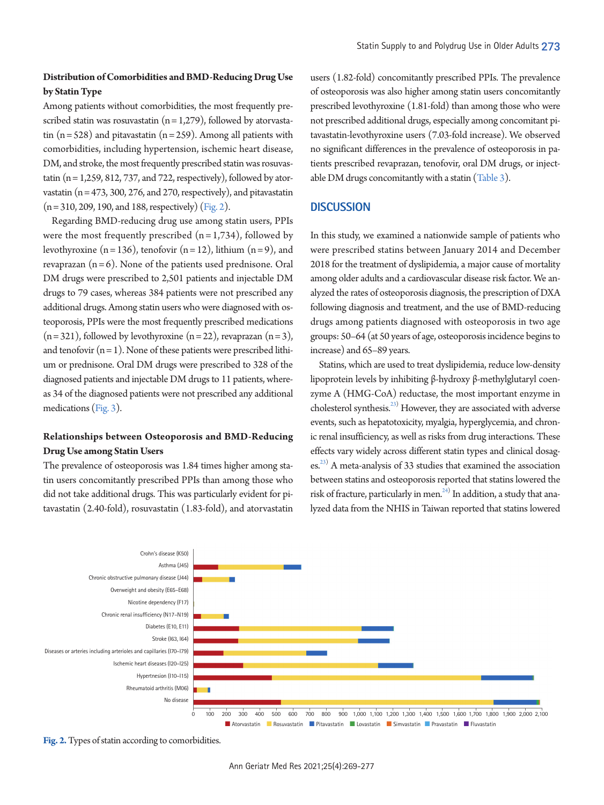# **Distribution of Comorbidities and BMD-Reducing Drug Use by Statin Type**

Among patients without comorbidities, the most frequently prescribed statin was rosuvastatin  $(n = 1,279)$ , followed by atorvastatin  $(n = 528)$  and pitavastatin  $(n = 259)$ . Among all patients with comorbidities, including hypertension, ischemic heart disease, DM, and stroke, the most frequently prescribed statin was rosuvastatin ( $n = 1,259, 812, 737,$  and 722, respectively), followed by atorvastatin ( $n = 473$ , 300, 276, and 270, respectively), and pitavastatin  $(n = 310, 209, 190, and 188, respectively)$  [\(Fig. 2](#page-4-0)).

Regarding BMD-reducing drug use among statin users, PPIs were the most frequently prescribed  $(n=1,734)$ , followed by levothyroxine  $(n = 136)$ , tenofovir  $(n = 12)$ , lithium  $(n = 9)$ , and revaprazan  $(n=6)$ . None of the patients used prednisone. Oral DM drugs were prescribed to 2,501 patients and injectable DM drugs to 79 cases, whereas 384 patients were not prescribed any additional drugs. Among statin users who were diagnosed with osteoporosis, PPIs were the most frequently prescribed medications  $(n=321)$ , followed by levothyroxine  $(n=22)$ , revaprazan  $(n=3)$ , and tenofovir  $(n = 1)$ . None of these patients were prescribed lithium or prednisone. Oral DM drugs were prescribed to 328 of the diagnosed patients and injectable DM drugs to 11 patients, whereas 34 of the diagnosed patients were not prescribed any additional medications [\(Fig. 3](#page-5-0)).

# **Relationships between Osteoporosis and BMD-Reducing Drug Use among Statin Users**

The prevalence of osteoporosis was 1.84 times higher among statin users concomitantly prescribed PPIs than among those who did not take additional drugs. This was particularly evident for pitavastatin (2.40-fold), rosuvastatin (1.83-fold), and atorvastatin

users (1.82-fold) concomitantly prescribed PPIs. The prevalence of osteoporosis was also higher among statin users concomitantly prescribed levothyroxine (1.81-fold) than among those who were not prescribed additional drugs, especially among concomitant pitavastatin-levothyroxine users (7.03-fold increase). We observed no significant differences in the prevalence of osteoporosis in patients prescribed revaprazan, tenofovir, oral DM drugs, or injectable DM drugs concomitantly with a statin [\(Table 3\)](#page-6-0).

# **DISCUSSION**

In this study, we examined a nationwide sample of patients who were prescribed statins between January 2014 and December 2018 for the treatment of dyslipidemia, a major cause of mortality among older adults and a cardiovascular disease risk factor. We analyzed the rates of osteoporosis diagnosis, the prescription of DXA following diagnosis and treatment, and the use of BMD-reducing drugs among patients diagnosed with osteoporosis in two age groups: 50–64 (at 50 years of age, osteoporosis incidence begins to increase) and 65–89 years.

Statins, which are used to treat dyslipidemia, reduce low-density lipoprotein levels by inhibiting β-hydroxy β-methylglutaryl coenzyme A (HMG-CoA) reductase, the most important enzyme in cholesterol synthesis.<sup>23)</sup> However, they are associated with adverse events, such as hepatotoxicity, myalgia, hyperglycemia, and chronic renal insufficiency, as well as risks from drug interactions. These effects vary widely across different statin types and clinical dosag-es.<sup>[23](#page-7-18))</sup> A meta-analysis of 33 studies that examined the association between statins and osteoporosis reported that statins lowered the risk of fracture, particularly in men. $^{24)}$  In addition, a study that analyzed data from the NHIS in Taiwan reported that statins lowered

<span id="page-4-0"></span>

**Fig. 2.** Types of statin according to comorbidities.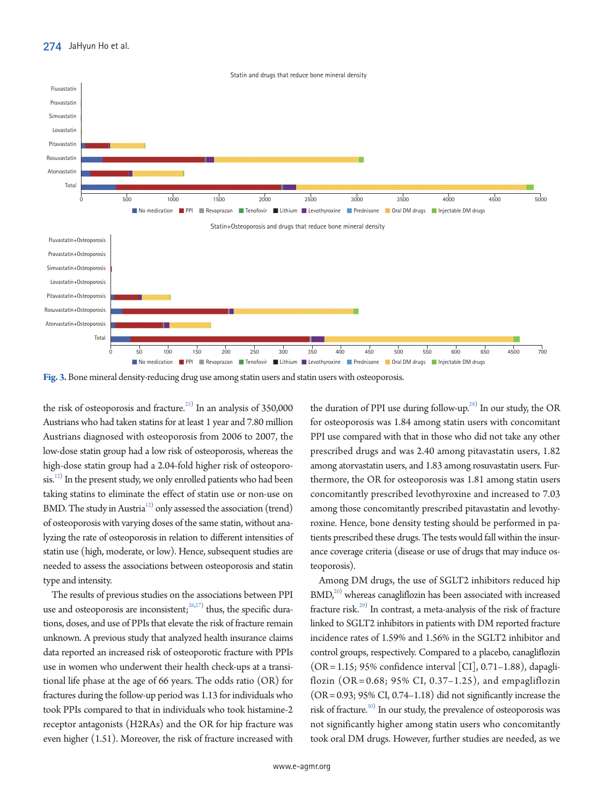<span id="page-5-0"></span>

**Fig. 3.** Bone mineral density-reducing drug use among statin users and statin users with osteoporosis.

the risk of osteoporosis and fracture. $^{25)}$  $^{25)}$  $^{25)}$  In an analysis of 350,000 Austrians who had taken statins for at least 1 year and 7.80 million Austrians diagnosed with osteoporosis from 2006 to 2007, the low-dose statin group had a low risk of osteoporosis, whereas the high-dose statin group had a 2.04-fold higher risk of osteoporo- $\sin^{12}$  In the present study, we only enrolled patients who had been taking statins to eliminate the effect of statin use or non-use on BMD. The study in Austria<sup>12)</sup> only assessed the association (trend) of osteoporosis with varying doses of the same statin, without analyzing the rate of osteoporosis in relation to different intensities of statin use (high, moderate, or low). Hence, subsequent studies are needed to assess the associations between osteoporosis and statin type and intensity.

The results of previous studies on the associations between PPI use and osteoporosis are inconsistent;  $26,27)$  $26,27)$  $26,27)$  thus, the specific durations, doses, and use of PPIs that elevate the risk of fracture remain unknown. A previous study that analyzed health insurance claims data reported an increased risk of osteoporotic fracture with PPIs use in women who underwent their health check-ups at a transitional life phase at the age of 66 years. The odds ratio (OR) for fractures during the follow-up period was 1.13 for individuals who took PPIs compared to that in individuals who took histamine-2 receptor antagonists (H2RAs) and the OR for hip fracture was even higher (1.51). Moreover, the risk of fracture increased with

the duration of PPI use during follow-up.<sup>[28](#page-8-4))</sup> In our study, the OR for osteoporosis was 1.84 among statin users with concomitant PPI use compared with that in those who did not take any other prescribed drugs and was 2.40 among pitavastatin users, 1.82 among atorvastatin users, and 1.83 among rosuvastatin users. Furthermore, the OR for osteoporosis was 1.81 among statin users concomitantly prescribed levothyroxine and increased to 7.03 among those concomitantly prescribed pitavastatin and levothyroxine. Hence, bone density testing should be performed in patients prescribed these drugs. The tests would fall within the insurance coverage criteria (disease or use of drugs that may induce osteoporosis).

Among DM drugs, the use of SGLT2 inhibitors reduced hip  $BMD<sub>1</sub><sup>20)</sup>$  whereas canagliflozin has been associated with increased fracture risk.<sup>29)</sup> In contrast, a meta-analysis of the risk of fracture linked to SGLT2 inhibitors in patients with DM reported fracture incidence rates of 1.59% and 1.56% in the SGLT2 inhibitor and control groups, respectively. Compared to a placebo, canagliflozin  $(OR = 1.15; 95\%$  confidence interval  $[CI]$ , 0.71–1.88), dapagliflozin (OR =  $0.68$ ; 95% CI, 0.37–1.25), and empagliflozin  $(OR = 0.93; 95\% CI, 0.74-1.18)$  did not significantly increase the risk of fracture.<sup>30)</sup> In our study, the prevalence of osteoporosis was not significantly higher among statin users who concomitantly took oral DM drugs. However, further studies are needed, as we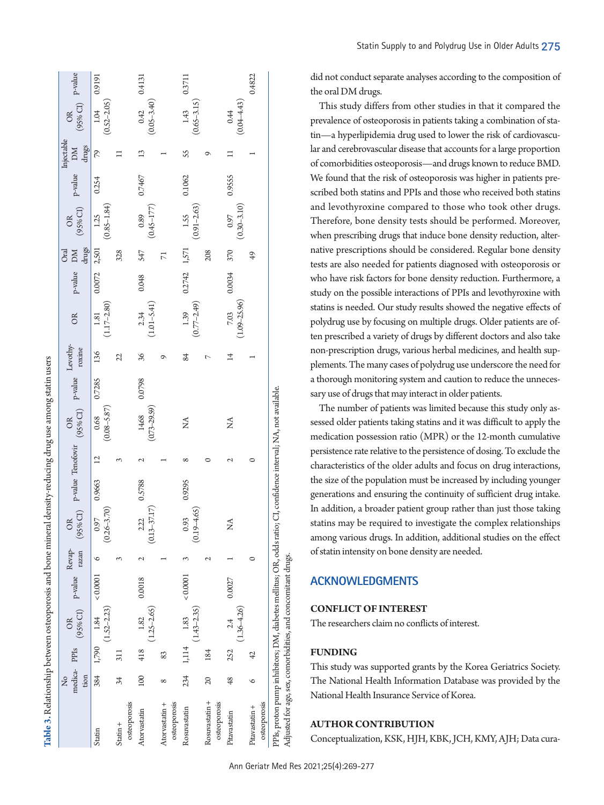| Table 3. Relationship between osteoporosis and bone mineral density-reducing drug use among statin users                                                                         |                          |                |                                                                      |          |               |                                                                                              |        |                 |                           |        |                |                          |                  |                            |                                                                                                                                                                                         |        |                 |                                |        |
|----------------------------------------------------------------------------------------------------------------------------------------------------------------------------------|--------------------------|----------------|----------------------------------------------------------------------|----------|---------------|----------------------------------------------------------------------------------------------|--------|-----------------|---------------------------|--------|----------------|--------------------------|------------------|----------------------------|-----------------------------------------------------------------------------------------------------------------------------------------------------------------------------------------|--------|-----------------|--------------------------------|--------|
|                                                                                                                                                                                  | medica-PPIs<br>tion<br>ż |                | $(95\% \text{ CI}) \quad \text{P-value} \quad \text{Revap} \text{-}$ |          |               | Revap-OR p-value Tenofovir $\mathrm{OB}$ p-value Levothy-razan (95% CI) p-value roxine razan |        |                 |                           |        |                | OR                       | p-value          | DM<br>drugs<br><b>Oral</b> | $\begin{tabular}{ll} \multicolumn{2}{c}{\text{On}}\\ \multicolumn{2}{c}{\text{OR}}\\ (95\%\,\mathrm{C1}) & \text{p-value} & \text{DM}\\ \multicolumn{2}{c}{\text{drugs}} \end{tabular}$ |        |                 | (95% $CD$ ) P-value<br>OR      |        |
| Statin                                                                                                                                                                           |                          | 384 1,790      | $(1.52 - 2.23)$<br>1.84                                              | 0.0001   | $\circ$       | 0.97<br>$(0.26 - 3.70)$                                                                      | 0.9663 | $\overline{12}$ | $(0.08 - 5.87)$<br>0.68   | 0.7285 | 136            | $(1.17 - 2.80)$<br>1.81  |                  |                            | $(0.85 - 1.84)$<br>$0.0072$ $2,501$ 1.25                                                                                                                                                | 0.254  | 79              | 1.04 0.9191<br>$(0.52 - 2.05)$ |        |
| $Statin +$                                                                                                                                                                       | 34                       | 311            |                                                                      |          | $\sim$        |                                                                                              |        | 3               |                           |        | 22             |                          |                  | 328                        |                                                                                                                                                                                         |        |                 |                                |        |
| osteoporosis<br>Atorvastatin                                                                                                                                                     | 100                      | 418            | 1.82                                                                 | 0.0018   | $\mathbf 2$   |                                                                                              |        |                 |                           | 0.0798 | 36             |                          | 0.048            | 547                        |                                                                                                                                                                                         | 0.7467 | $\overline{13}$ | $0.42$ $0.4131$                |        |
|                                                                                                                                                                                  |                          |                | $(1.25 - 2.65)$                                                      |          |               | $2.22$ 0.5788<br>(0.13-37.17)                                                                |        |                 | $14.68$<br>$(0.73-29.59)$ |        |                | $2.34$<br>(1.01–5.41)    |                  |                            | $(0.89$<br>(0.45–177)                                                                                                                                                                   |        |                 | $(0.05 - 3.40)$                |        |
| osteoporosis<br>Atorvastatin +                                                                                                                                                   | $^{\circ}$               | 83             |                                                                      |          |               |                                                                                              |        |                 |                           |        |                |                          |                  | $\overline{7}$             |                                                                                                                                                                                         |        |                 |                                |        |
| Rosuvastatin                                                                                                                                                                     | 234                      | 1,114          | $(1.43 - 2.35)$<br>1.83                                              | < 0.0001 |               | $(0.19 - 4.65)$<br>0.93                                                                      | 0.9295 | $\infty$        | Ź                         |        | 84             | $(0.77 - 2.49)$<br>1.39  | $0.2742$ $1,571$ |                            | $(0.91 - 2.63)$<br>1.55                                                                                                                                                                 | 0.1062 | SS              | $1.43$ 0.3711<br>(0.65–3.15)   |        |
| Rosuvastatin +<br>osteoporosis                                                                                                                                                   | 20                       | 184            |                                                                      |          | $\mathcal{L}$ |                                                                                              |        |                 |                           |        | $\overline{ }$ |                          |                  | 208                        |                                                                                                                                                                                         |        | ᡋ               |                                |        |
| Pitavastatin                                                                                                                                                                     | 48                       | 252            | $(1.36 - 4.26)$<br>2.4                                               | 0.0027   |               | Ź                                                                                            |        |                 | Ź                         |        | $\overline{1}$ | $(1.09 - 25.96)$<br>7.03 | $0.0034$ 370     |                            | $(0.30 - 3.10)$<br>0.97                                                                                                                                                                 | 0.9555 |                 | $(0.04 - 4.43)$<br>0.44        |        |
| osteoporosis<br>Pitavastatin +                                                                                                                                                   | ৩                        | $\overline{4}$ |                                                                      |          | 0             |                                                                                              |        |                 |                           |        |                |                          |                  | $\overline{6}$             |                                                                                                                                                                                         |        |                 |                                | 0.4822 |
| PPIs, proton pump inhibitors; DM, diabetes mellitus; OR, odds ratio; CI, confidence interval; NA, not available.<br>Adjusted for age, sex, comorbidities, and concomitant drugs. |                          |                |                                                                      |          |               |                                                                                              |        |                 |                           |        |                |                          |                  |                            |                                                                                                                                                                                         |        |                 |                                |        |

 $\begin{array}{ccc} \circ & \circ & \circ \end{array}$ 

did not conduct separate analyses according to the composition of the oral DM drugs.

This study differs from other studies in that it compared the prevalence of osteoporosis in patients taking a combination of statin—a hyperlipidemia drug used to lower the risk of cardiovascular and cerebrovascular disease that accounts for a large proportion of comorbidities osteoporosis—and drugs known to reduce BMD. We found that the risk of osteoporosis was higher in patients prescribed both statins and PPIs and those who received both statins and levothyroxine compared to those who took other drugs. Therefore, bone density tests should be performed. Moreover, when prescribing drugs that induce bone density reduction, alternative prescriptions should be considered. Regular bone density tests are also needed for patients diagnosed with osteoporosis or who have risk factors for bone density reduction. Furthermore, a study on the possible interactions of PPIs and levothyroxine with statins is needed. Our study results showed the negative effects of polydrug use by focusing on multiple drugs. Older patients are often prescribed a variety of drugs by different doctors and also take non-prescription drugs, various herbal medicines, and health supplements. The many cases of polydrug use underscore the need for a thorough monitoring system and caution to reduce the unnecessary use of drugs that may interact in older patients.

The number of patients was limited because this study only assessed older patients taking statins and it was difficult to apply the medication possession ratio (MPR) or the 12-month cumulative persistence rate relative to the persistence of dosing. To exclude the characteristics of the older adults and focus on drug interactions, the size of the population must be increased by including younger generations and ensuring the continuity of sufficient drug intake. In addition, a broader patient group rather than just those taking statins may be required to investigate the complex relationships among various drugs. In addition, additional studies on the effect of statin intensity on bone density are needed.

# **ACKNOWLEDGMENTS**

## **CONFLICT OF INTEREST**

The researchers claim no conflicts of interest.

## **FUNDING**

This study was supported grants by the Korea Geriatrics Society. The National Health Information Database was provided by the National Health Insurance Service of Korea.

#### **AUTHOR CONTRIBUTION**

<span id="page-6-0"></span>Conceptualization, KSK, HJH, KBK, JCH, KMY, AJH; Data cura-

 $\overline{c}$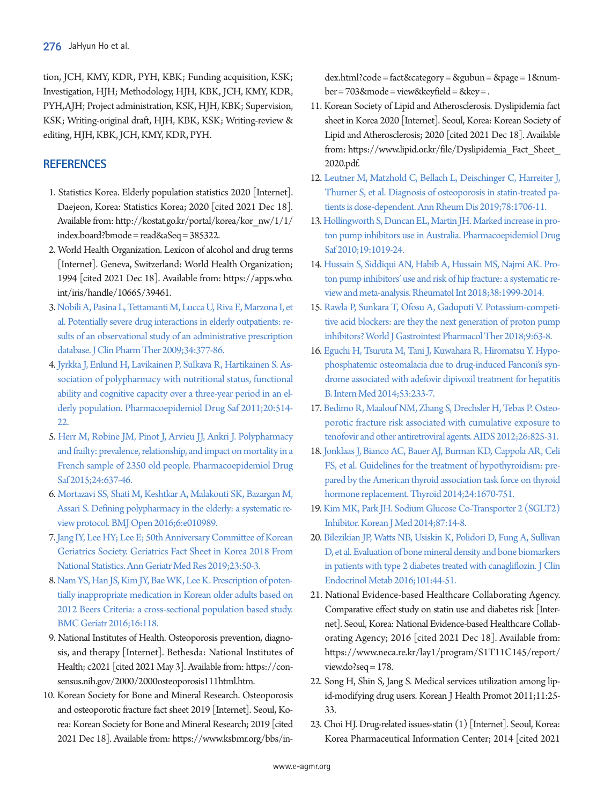tion, JCH, KMY, KDR, PYH, KBK; Funding acquisition, KSK; Investigation, HJH; Methodology, HJH, KBK, JCH, KMY, KDR, PYH,AJH; Project administration, KSK, HJH, KBK; Supervision, KSK; Writing-original draft, HJH, KBK, KSK; Writing-review & editing, HJH, KBK, JCH, KMY, KDR, PYH.

# **REFERENCES**

- <span id="page-7-0"></span>1. Statistics Korea. Elderly population statistics 2020 [Internet]. Daejeon, Korea: Statistics Korea; 2020 [cited 2021 Dec 18]. Available from: [http://kostat.go.kr/portal/korea/kor\\_nw/1/1/](http://kostat.go.kr/portal/korea/kor_nw/1/1/index.board?bmode=read&aSeq=385322) [index.board?bmode = read&aSeq = 385322](http://kostat.go.kr/portal/korea/kor_nw/1/1/index.board?bmode=read&aSeq=385322).
- <span id="page-7-1"></span>2. World Health Organization. Lexicon of alcohol and drug terms [Internet]. Geneva, Switzerland: World Health Organization; 1994 [cited 2021 Dec 18]. Available from: [https://apps.who.](https://apps.who.int/iris/handle/10665/39461) [int/iris/handle/10665/39461](https://apps.who.int/iris/handle/10665/39461).
- <span id="page-7-2"></span>3. [Nobili A, Pasina L, Tettamanti M, Lucca U, Riva E, Marzona I, et](https://doi.org/10.1111/j.1365-2710.2009.01021.x)  [al. Potentially severe drug interactions in elderly outpatients: re](https://doi.org/10.1111/j.1365-2710.2009.01021.x)[sults of an observational study of an administrative prescription](https://doi.org/10.1111/j.1365-2710.2009.01021.x)  [database. J Clin Pharm Ther 2009;34:377-86.](https://doi.org/10.1111/j.1365-2710.2009.01021.x)
- 4. [Jyrkka J, Enlund H, Lavikainen P, Sulkava R, Hartikainen S. As](https://doi.org/10.1002/pds.2116)[sociation of polypharmacy with nutritional status, functional](https://doi.org/10.1002/pds.2116)  [ability and cognitive capacity over a three-year period in an el](https://doi.org/10.1002/pds.2116)[derly population. Pharmacoepidemiol Drug Saf](https://doi.org/10.1002/pds.2116) 2011;20:514- 22.
- 5. [Herr M, Robine JM, Pinot J, Arvieu JJ, Ankri J. Polypharmacy](https://doi.org/10.1002/pds.3772)  [and frailty: prevalence, relationship, and impact on mortality in a](https://doi.org/10.1002/pds.3772)  [French sample of 2350 old people. Pharmacoepidemiol Drug](https://doi.org/10.1002/pds.3772)  [Saf 2015;24:637-46.](https://doi.org/10.1002/pds.3772)
- 6. [Mortazavi SS, Shati M, Keshtkar A, Malakouti SK, Bazargan M,](https://doi.org/10.1136/bmjopen-2015-010989)  [Assari S. Defining polypharmacy in the elderly: a systematic re](https://doi.org/10.1136/bmjopen-2015-010989)[view protocol. BMJ Open 2016;6:e010989.](https://doi.org/10.1136/bmjopen-2015-010989)
- <span id="page-7-3"></span>[7. Jang IY, Lee HY; Lee E; 50th Anniversary Committee of Korean](https://doi.org/10.4235/agmr.19.0013)  [Geriatrics Society. Geriatrics Fact Sheet in Korea 2018 From](https://doi.org/10.4235/agmr.19.0013)  [National Statistics. Ann Geriatr Med Res 2019;23:50-3.](https://doi.org/10.4235/agmr.19.0013)
- <span id="page-7-4"></span>[8. Nam YS, Han JS, Kim JY, Bae WK, Lee K. Prescription of poten](https://doi.org/10.1186/s12877-016-0285-3)[tially inappropriate medication in Korean older adults based on](https://doi.org/10.1186/s12877-016-0285-3)  [2012 Beers Criteria: a cross-sectional population based study.](https://doi.org/10.1186/s12877-016-0285-3)  [BMC Geriatr 2016;16:118](https://doi.org/10.1186/s12877-016-0285-3).
- <span id="page-7-5"></span>9. National Institutes of Health. Osteoporosis prevention, diagnosis, and therapy [Internet]. Bethesda: National Institutes of Health; c2021 [cited 2021 May 3]. Available from: [https://con](https://consensus.nih.gov/2000/2000osteoporosis111html.htm)[sensus.nih.gov/2000/2000osteoporosis111html.htm.](https://consensus.nih.gov/2000/2000osteoporosis111html.htm)
- <span id="page-7-6"></span>10. Korean Society for Bone and Mineral Research. Osteoporosis and osteoporotic fracture fact sheet 2019 [Internet]. Seoul, Korea: Korean Society for Bone and Mineral Research; 2019 [cited 2021 Dec 18]. Available from: [https://www.ksbmr.org/bbs/in-](https://www.ksbmr.org/bbs/index.html?code=fact&category=&gubun=&page=1&number=703&mode=view&keyfield=&key=)

[dex.html?code = fact&category = &gubun = &page = 1&num](https://www.ksbmr.org/bbs/index.html?code=fact&category=&gubun=&page=1&number=703&mode=view&keyfield=&key=)[ber = 703&mode = view&keyfield = &key = .](https://www.ksbmr.org/bbs/index.html?code=fact&category=&gubun=&page=1&number=703&mode=view&keyfield=&key=)

- <span id="page-7-7"></span>11. Korean Society of Lipid and Atherosclerosis. Dyslipidemia fact sheet in Korea 2020 [Internet]. Seoul, Korea: Korean Society of Lipid and Atherosclerosis; 2020 [cited 2021 Dec 18]. Available from: [https://www.lipid.or.kr/file/Dyslipidemia\\_Fact\\_Sheet\\_](https://www.lipid.or.kr/file/Dyslipidemia_Fact_Sheet_2020.pdf) [2020.pdf.](https://www.lipid.or.kr/file/Dyslipidemia_Fact_Sheet_2020.pdf)
- <span id="page-7-8"></span>12. [Leutner M, Matzhold C, Bellach L, Deischinger C, Harreiter J,](https://doi.org/10.1136/annrheumdis-2019-215714)  [Thurner S, et al. Diagnosis of osteoporosis in statin-treated pa](https://doi.org/10.1136/annrheumdis-2019-215714)[tients is dose-dependent. Ann Rheum Dis 2019;78:1706-11.](https://doi.org/10.1136/annrheumdis-2019-215714)
- <span id="page-7-9"></span>13[. Hollingworth S, Duncan EL, Martin JH. Marked increase in pro](https://doi.org/10.1002/pds.1969)[ton pump inhibitors use in Australia. Pharmacoepidemiol Drug](https://doi.org/10.1002/pds.1969)  [Saf 2010;19:1019-24.](https://doi.org/10.1002/pds.1969)
- <span id="page-7-10"></span>14[. Hussain S, Siddiqui AN, Habib A, Hussain MS, Najmi AK. Pro](https://doi.org/10.1007/s00296-018-4142-x)[ton pump inhibitors' use and risk of hip fracture: a systematic re](https://doi.org/10.1007/s00296-018-4142-x)[view and meta-analysis. Rheumatol Int 2018;38:1999-2014.](https://doi.org/10.1007/s00296-018-4142-x)
- <span id="page-7-11"></span>15[. Rawla P, Sunkara T, Ofosu A, Gaduputi V. Potassium-competi](https://doi.org/10.4292/wjgpt.v9.i7.63)[tive acid blockers: are they the next generation of proton pump](https://doi.org/10.4292/wjgpt.v9.i7.63)  [inhibitors? World J Gastrointest Pharmacol Ther 2018;9:63-8.](https://doi.org/10.4292/wjgpt.v9.i7.63)
- <span id="page-7-12"></span>16. Eguchi H, [Tsuruta M, Tani J, Kuwahara R, Hiromatsu Y. Hypo](https://doi.org/10.1136/bmjopen-2015-010989)[phosphatemic osteomalacia due to drug-induced Fanconi's syn](https://doi.org/10.1136/bmjopen-2015-010989)[drome associated with adefovir dipivoxil treatment for hepatitis](https://doi.org/10.1136/bmjopen-2015-010989)  [B. Intern Med 2014;53:233-7.](https://doi.org/10.1136/bmjopen-2015-010989)
- <span id="page-7-13"></span>17[. Bedimo R, Maalouf NM, Zhang S, Drechsler H, Tebas P. Osteo](https://doi.org/10.1097/qad.0b013e32835192ae)[porotic fracture risk associated with cumulative exposure to](https://doi.org/10.1097/qad.0b013e32835192ae)  [tenofovir and other antiretroviral agents. AIDS 2012;26:825-31](https://doi.org/10.1097/qad.0b013e32835192ae).
- <span id="page-7-14"></span>18[. Jonklaas J, Bianco AC, Bauer AJ, Burman KD, Cappola AR, Celi](https://doi.org/10.1089/thy.2014.0028)  [FS, et al. Guidelines for the treatment of hypothyroidism: pre](https://doi.org/10.1089/thy.2014.0028)[pared by the American thyroid association task force on thyroid](https://doi.org/10.1089/thy.2014.0028)  [hormone replacement. Thyroid 2014;24:1670-751](https://doi.org/10.1089/thy.2014.0028).
- <span id="page-7-15"></span>19[. Kim MK, Park JH. Sodium Glucose Co-Transporter 2 \(SGLT2\)](https://doi.org/10.3904/kjm.2014.87.1.14)  [Inhibitor. Korean J Med 2014;87:14-8](https://doi.org/10.3904/kjm.2014.87.1.14).
- 20. [Bilezikian JP, Watts NB, Usiskin K, Polidori D, Fung A, Sullivan](https://doi.org/10.1210/jc.2015-1860)  [D, et al. Evaluation of bone mineral density and bone biomarkers](https://doi.org/10.1210/jc.2015-1860)  [in patients with type 2 diabetes treated with canagliflozin. J Clin](https://doi.org/10.1210/jc.2015-1860)  [Endocrinol Metab 2016;101:44-51.](https://doi.org/10.1210/jc.2015-1860)
- <span id="page-7-16"></span>21. National Evidence-based Healthcare Collaborating Agency. Comparative effect study on statin use and diabetes risk [Internet]. Seoul, Korea: National Evidence-based Healthcare Collaborating Agency; 2016 [cited 2021 Dec 18]. Available from: [https://www.neca.re.kr/lay1/program/S1T11C145/report/](https://www.neca.re.kr/lay1/program/S1T11C145/report/view.do?seq=178) [view.do?seq = 178.](https://www.neca.re.kr/lay1/program/S1T11C145/report/view.do?seq=178)
- <span id="page-7-17"></span>22. Song H, Shin S, Jang S. Medical services utilization among lipid-modifying drug users. Korean J Health Promot 2011;11:25- 33.
- <span id="page-7-18"></span>23. Choi HJ. Drug-related issues-statin (1) [Internet]. Seoul, Korea: Korea Pharmaceutical Information Center; 2014 [cited 2021